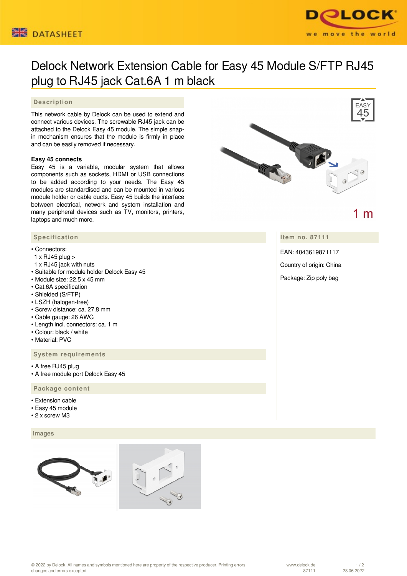



# Delock Network Extension Cable for Easy 45 Module S/FTP RJ45 plug to RJ45 jack Cat.6A 1 m black

## **Description**

This network cable by Delock can be used to extend and connect various devices. The screwable RJ45 jack can be attached to the Delock Easy 45 module. The simple snapin mechanism ensures that the module is firmly in place and can be easily removed if necessary.

### **Easy 45 connects**

Easy 45 is a variable, modular system that allows components such as sockets, HDMI or USB connections to be added according to your needs. The Easy 45 modules are standardised and can be mounted in various module holder or cable ducts. Easy 45 builds the interface between electrical, network and system installation and many peripheral devices such as TV, monitors, printers, laptops and much more.



#### • Connectors:

- 1 x RJ45 plug >
- 1 x RJ45 jack with nuts
- Suitable for module holder Delock Easy 45
- Module size: 22.5 x 45 mm
- Cat.6A specification
- Shielded (S/FTP)
- LSZH (halogen-free)
- Screw distance: ca. 27.8 mm
- Cable gauge: 26 AWG
- Length incl. connectors: ca. 1 m
- Colour: black / white
- Material: PVC

## **System requirements**

- A free RJ45 plug
- A free module port Delock Easy 45

## **Package content**

- Extension cable
- Easy 45 module
- 2 x screw M3

#### **Images**







1 m

**Item no. 87111**

EAN: 4043619871117

Country of origin: China

Package: Zip poly bag